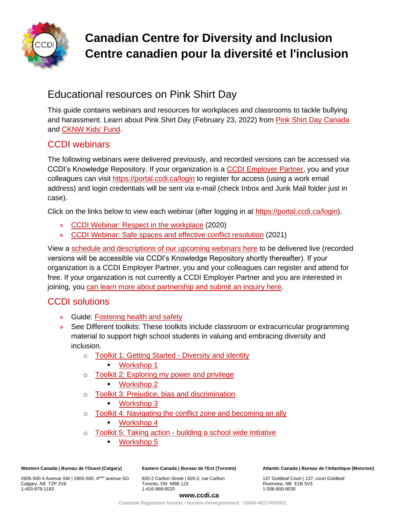

# **Canadian Centre for Diversity and Inclusion Centre canadien pour la diversité et l'inclusion**

# Educational resources on Pink Shirt Day

This guide contains webinars and resources for workplaces and classrooms to tackle bullying and harassment. Learn about Pink Shirt Day (February 23, 2022) from [Pink Shirt Day Canada](https://pinkshirtdaycanada.ca/) and [CKNW Kids' Fund.](https://www.pinkshirtday.ca/)

## CCDI webinars

The following webinars were delivered previously, and recorded versions can be accessed via CCDI's Knowledge Repository. If your organization is a [CCDI Employer Partner,](https://ccdi.ca/employers/) you and your colleagues can visit<https://portal.ccdi.ca/login> to register for access (using a work email address) and login credentials will be sent via e-mail (check Inbox and Junk Mail folder just in case).

Click on the links below to view each webinar (after logging in at [https://portal.ccdi.ca/login\)](https://portal.ccdi.ca/login).

- » [CCDI Webinar: Respect in the workplace](https://portal.ccdi.ca/kbarticle/1516-CCDI-Webinar-Respect-in-the-workplace) (2020)
- » [CCDI Webinar: Safe spaces and effective conflict resolution](https://portal.ccdi.ca/kbarticle/1972-CCDI-Webinar-Safe-spaces-and-effective-conflict-r) (2021)

View a [schedule and descriptions of our upcoming webinars here](https://www.ccdi.ca/event-calendar/?category=Webinars) to be delivered live (recorded versions will be accessible via CCDI's Knowledge Repository shortly thereafter). If your organization is a CCDI Employer Partner, you and your colleagues can register and attend for free. If your organization is not currently a CCDI Employer Partner and you are interested in joining, you [can learn more about partnership and submit an inquiry here.](https://ccdi.ca/employer-partner-information/)

# CCDI solutions

- » Guide: [Fostering health and safety](https://ccdi.ca/media/2230/20200512-ccdi-inclusive-workplace-guide-fostering-health-and-safety-final.pdf)
- » See Different toolkits: These toolkits include classroom or extracurricular programming material to support high school students in valuing and embracing diversity and inclusion.
	- o [Toolkit 1: Getting Started -](https://ccdi.ca/media/1587/toolkit-1-getting-started-diversity-and-identity.pdf) Diversity and identity
		- [Workshop 1](https://ccdi.ca/media/1757/workshop-1-diversity-and-identity.pptx)
	- o [Toolkit 2: Exploring my power and privilege](https://ccdi.ca/media/1588/toolkit-2-exploring-my-power-and-privilege.pdf)
		- [Workshop 2](https://ccdi.ca/media/1764/workshop-2-exploring-my-power-and-privilege-v2.pptx)
	- o [Toolkit 3: Prejudice, bias and discrimination](https://ccdi.ca/media/1589/toolkit-3-prejudice-bias-and-discrimination-how-to-stop-the-cycle.pdf)
		- [Workshop 3](https://ccdi.ca/media/1759/workshop-3-prejudice-bias-and-discrimination.pptx)
	- o [Toolkit 4: Navigating the conflict zone and becoming an ally](https://ccdi.ca/media/1590/toolkit-4-navigating-the-conflict-zone-and-becoming-an-ally.pdf)
		- [Workshop 4](https://ccdi.ca/media/1758/workshop-4-navigating-the-conflict-zone-and-becoming-an-ally.pptx)
	- o Toolkit 5: Taking action [building a school wide initiative](https://ccdi.ca/media/1586/toolkit-5-taking-action-building-a-school-wide-initiative.pdf)
		- [Workshop 5](https://ccdi.ca/media/1752/workshop-5-taking-action-building-a-swi.pptx)

**Western Canada | Bureau de l'Ouest (Calgary)**

2605-500 4 Avenue SW | 2605-500, 4ème avenue SO Calgary, AB T2P 2V6 1-403-879-1183

**Eastern Canada | Bureau de l'Est (Toronto)**

820-2 Carlton Street | 820-2, rue Carlton Toronto, ON M5B 1J3 1-416-968-6520

**Atlantic Canada | Bureau de l'Atlantique (Moncton)** 

137 Goldleaf Court | 137, court Goldleaf Riverview, NB E1B 5V3 1-506-800-8530

#### **www.ccdi.ca**